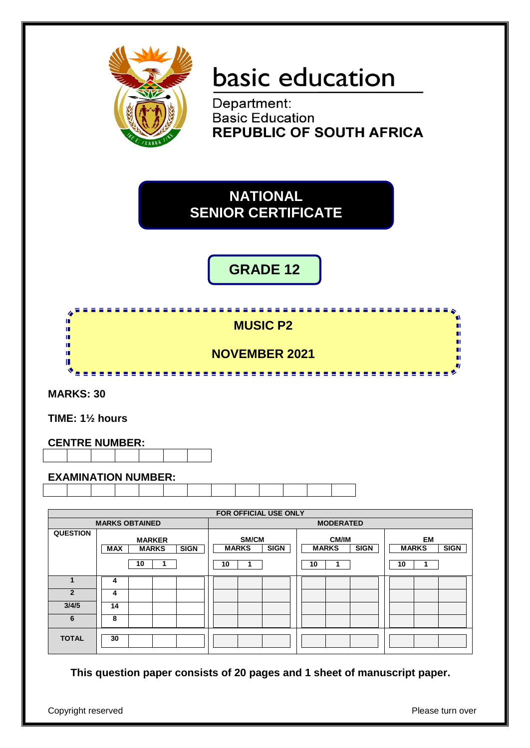

# basic education

Department: **Basic Education REPUBLIC OF SOUTH AFRICA** 

**NATIONAL SENIOR CERTIFICATE**

### **GRADE 12**



**MARKS: 30**

**TIME: 1½ hours**

#### **CENTRE NUMBER:**



#### **EXAMINATION NUMBER:**

|                 | FOR OFFICIAL USE ONLY                                            |                                            |                                                   |                                              |  |  |
|-----------------|------------------------------------------------------------------|--------------------------------------------|---------------------------------------------------|----------------------------------------------|--|--|
|                 | <b>MARKS OBTAINED</b>                                            |                                            | <b>MODERATED</b>                                  |                                              |  |  |
| <b>QUESTION</b> | <b>MARKER</b><br><b>SIGN</b><br><b>MARKS</b><br><b>MAX</b><br>10 | SM/CM<br><b>SIGN</b><br><b>MARKS</b><br>10 | <b>CM/IM</b><br><b>SIGN</b><br><b>MARKS</b><br>10 | EM<br><b>SIGN</b><br><b>MARKS</b><br>10<br>1 |  |  |
|                 | 4                                                                |                                            |                                                   |                                              |  |  |
| $\overline{2}$  | 4                                                                |                                            |                                                   |                                              |  |  |
| 3/4/5           | 14                                                               |                                            |                                                   |                                              |  |  |
| 6               | 8                                                                |                                            |                                                   |                                              |  |  |
| <b>TOTAL</b>    | 30                                                               |                                            |                                                   |                                              |  |  |

**This question paper consists of 20 pages and 1 sheet of manuscript paper.**

Copyright reserved **Please** turn over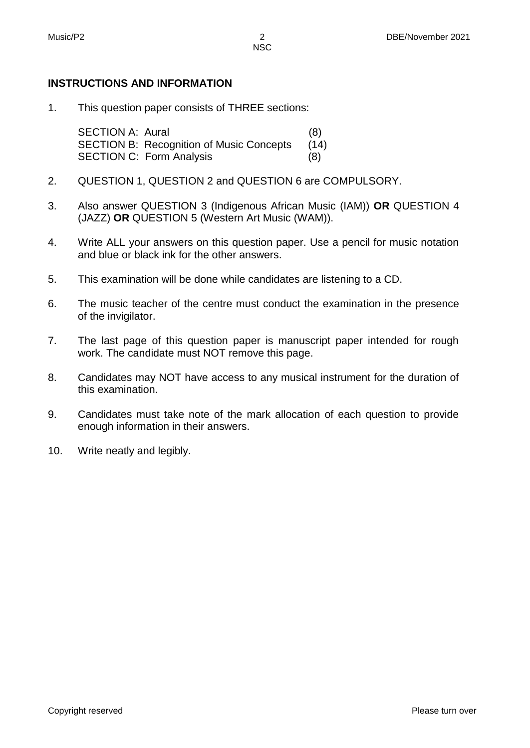#### **INSTRUCTIONS AND INFORMATION**

1. This question paper consists of THREE sections:

> SECTION A: Aural (8) SECTION B: Recognition of Music Concepts (14) SECTION C: Form Analysis (8)

- 2. QUESTION 1, QUESTION 2 and QUESTION 6 are COMPULSORY.
- 3. Also answer QUESTION 3 (Indigenous African Music (IAM)) **OR** QUESTION 4 (JAZZ) **OR** QUESTION 5 (Western Art Music (WAM)).
- 4. Write ALL your answers on this question paper. Use a pencil for music notation and blue or black ink for the other answers.
- 5. This examination will be done while candidates are listening to a CD.
- 6. The music teacher of the centre must conduct the examination in the presence of the invigilator.
- 7. The last page of this question paper is manuscript paper intended for rough work. The candidate must NOT remove this page.
- 8. Candidates may NOT have access to any musical instrument for the duration of this examination.
- 9. Candidates must take note of the mark allocation of each question to provide enough information in their answers.
- 10. Write neatly and legibly.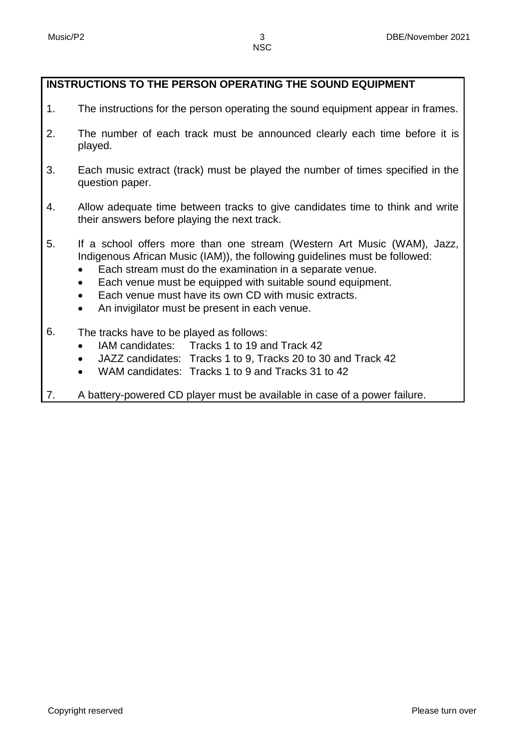- 1. The instructions for the person operating the sound equipment appear in frames.
- 2. The number of each track must be announced clearly each time before it is played.
- 3. Each music extract (track) must be played the number of times specified in the question paper.
- 4. Allow adequate time between tracks to give candidates time to think and write their answers before playing the next track.
- 5. If a school offers more than one stream (Western Art Music (WAM), Jazz, Indigenous African Music (IAM)), the following guidelines must be followed:
	- Each stream must do the examination in a separate venue.
	- Each venue must be equipped with suitable sound equipment.
	- Each venue must have its own CD with music extracts.
	- An invigilator must be present in each venue.
- 6. The tracks have to be played as follows:
	- IAM candidates: Tracks 1 to 19 and Track 42
	- JAZZ candidates: Tracks 1 to 9, Tracks 20 to 30 and Track 42
	- WAM candidates: Tracks 1 to 9 and Tracks 31 to 42
- 7. A battery-powered CD player must be available in case of a power failure.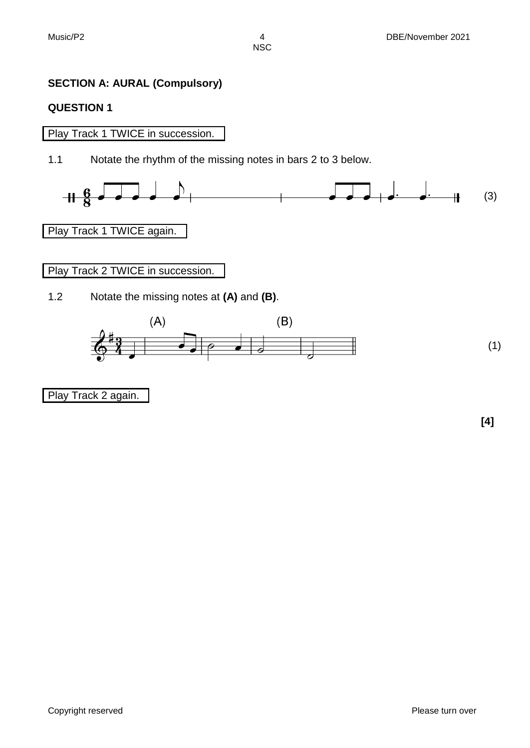#### **SECTION A: AURAL (Compulsory)**

#### **QUESTION 1**

#### Play Track 1 TWICE in succession.

1.1 Notate the rhythm of the missing notes in bars 2 to 3 below.



#### Play Track 1 TWICE again.

Play Track 2 TWICE in succession.

1.2 Notate the missing notes at **(A)** and **(B)**.



Play Track 2 again.

**[4]**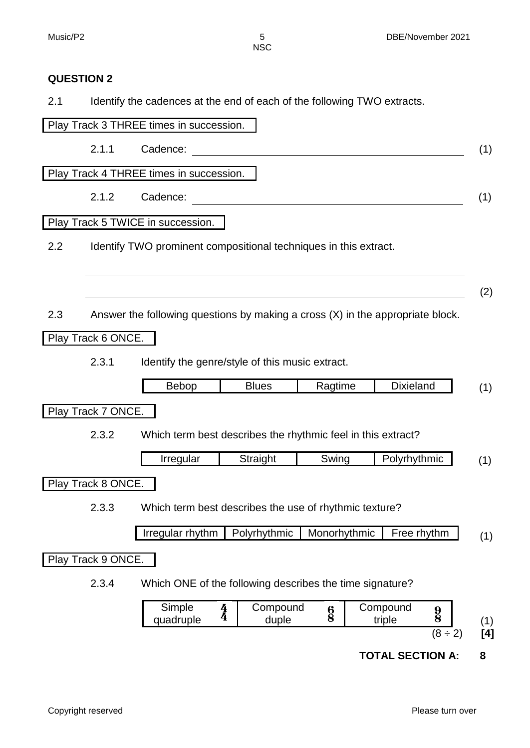#### **QUESTION 2**

2.1 Identify the cadences at the end of each of the following TWO extracts.

|     |                                                                 | Play Track 3 THREE times in succession.                                          |                                    |               |                    |                                             |
|-----|-----------------------------------------------------------------|----------------------------------------------------------------------------------|------------------------------------|---------------|--------------------|---------------------------------------------|
|     | 2.1.1                                                           | Cadence:                                                                         |                                    |               |                    | (1)                                         |
|     |                                                                 | Play Track 4 THREE times in succession.                                          |                                    |               |                    |                                             |
|     | 2.1.2                                                           | Cadence:                                                                         |                                    |               |                    | (1)                                         |
|     |                                                                 | Play Track 5 TWICE in succession.                                                |                                    |               |                    |                                             |
| 2.2 |                                                                 | Identify TWO prominent compositional techniques in this extract.                 |                                    |               |                    |                                             |
|     |                                                                 |                                                                                  |                                    |               |                    | (2)                                         |
| 2.3 |                                                                 | Answer the following questions by making a cross $(X)$ in the appropriate block. |                                    |               |                    |                                             |
|     | Play Track 6 ONCE.                                              |                                                                                  |                                    |               |                    |                                             |
|     | 2.3.1                                                           | Identify the genre/style of this music extract.                                  |                                    |               |                    |                                             |
|     |                                                                 | Bebop                                                                            | <b>Blues</b>                       | Ragtime       | <b>Dixieland</b>   | (1)                                         |
|     | Play Track 7 ONCE.                                              |                                                                                  |                                    |               |                    |                                             |
|     | 2.3.2                                                           | Which term best describes the rhythmic feel in this extract?                     |                                    |               |                    |                                             |
|     |                                                                 | Irregular                                                                        | Straight                           | Swing         | Polyrhythmic       | (1)                                         |
|     | Play Track 8 ONCE.                                              |                                                                                  |                                    |               |                    |                                             |
|     | Which term best describes the use of rhythmic texture?<br>2.3.3 |                                                                                  |                                    |               |                    |                                             |
|     |                                                                 | Irregular rhythm                                                                 | Polyrhythmic                       | Monorhythmic  | Free rhythm        | (1)                                         |
|     | Play Track 9 ONCE.                                              |                                                                                  |                                    |               |                    |                                             |
|     | 2.3.4                                                           | Which ONE of the following describes the time signature?                         |                                    |               |                    |                                             |
|     |                                                                 | Simple<br>quadruple                                                              | Compound<br>$\frac{4}{4}$<br>duple | $\frac{6}{8}$ | Compound<br>triple | $\frac{9}{8}$<br>(1)<br>$(8 \div 2)$<br>[4] |
|     |                                                                 |                                                                                  |                                    |               |                    |                                             |

**TOTAL SECTION A: 8**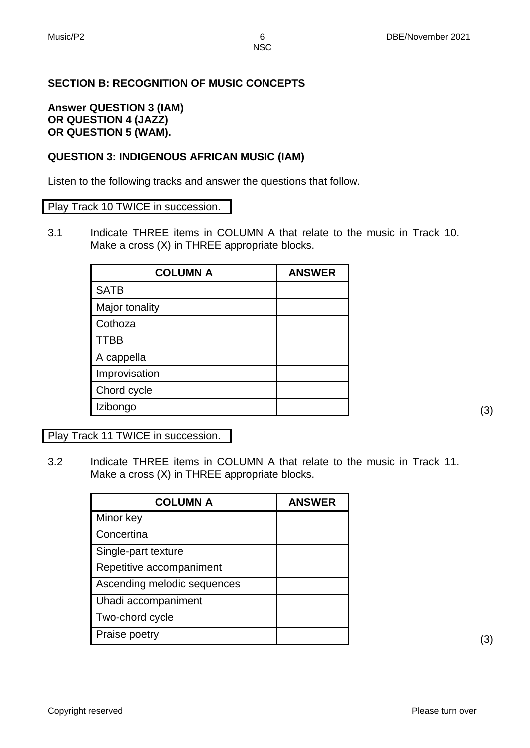#### **SECTION B: RECOGNITION OF MUSIC CONCEPTS**

#### **Answer QUESTION 3 (IAM) OR QUESTION 4 (JAZZ) OR QUESTION 5 (WAM).**

#### **QUESTION 3: INDIGENOUS AFRICAN MUSIC (IAM)**

Listen to the following tracks and answer the questions that follow.

#### Play Track 10 TWICE in succession.

3.1 Indicate THREE items in COLUMN A that relate to the music in Track 10. Make a cross (X) in THREE appropriate blocks.

| <b>COLUMN A</b> | <b>ANSWER</b> |
|-----------------|---------------|
| <b>SATB</b>     |               |
| Major tonality  |               |
| Cothoza         |               |
| <b>TTBB</b>     |               |
| A cappella      |               |
| Improvisation   |               |
| Chord cycle     |               |
| Izibongo        |               |

Play Track 11 TWICE in succession.

3.2 Indicate THREE items in COLUMN A that relate to the music in Track 11. Make a cross (X) in THREE appropriate blocks.

| <b>COLUMN A</b>             | <b>ANSWER</b> |
|-----------------------------|---------------|
| Minor key                   |               |
| Concertina                  |               |
| Single-part texture         |               |
| Repetitive accompaniment    |               |
| Ascending melodic sequences |               |
| Uhadi accompaniment         |               |
| Two-chord cycle             |               |
| Praise poetry               |               |

 $\overline{a}$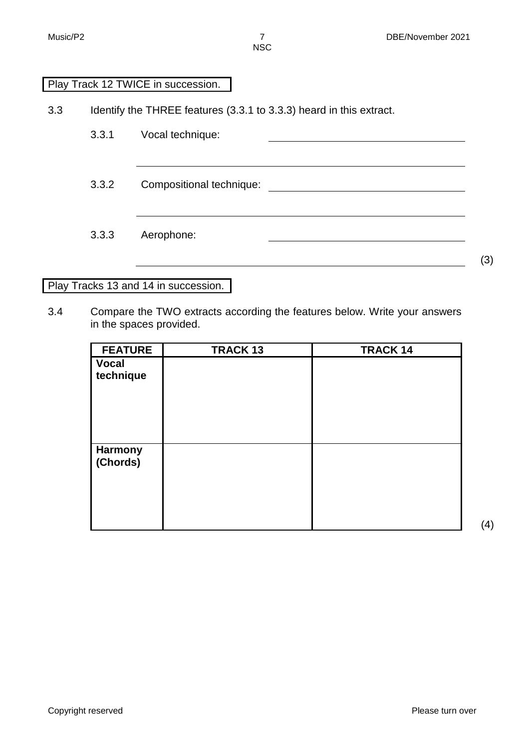#### Play Track 12 TWICE in succession.

3.3 Identify the THREE features (3.3.1 to 3.3.3) heard in this extract.

3.3.1 Vocal technique: 3.3.2 Compositional technique: 3.3.3 Aerophone: <u> 1989 - Johann Barnett, fransk politiker (d. 1989)</u>

#### Play Tracks 13 and 14 in succession.

3.4 Compare the TWO extracts according the features below. Write your answers in the spaces provided.

| <b>FEATURE</b> | <b>TRACK 13</b> | <b>TRACK 14</b> |
|----------------|-----------------|-----------------|
| <b>Vocal</b>   |                 |                 |
| technique      |                 |                 |
|                |                 |                 |
|                |                 |                 |
|                |                 |                 |
|                |                 |                 |
|                |                 |                 |
| <b>Harmony</b> |                 |                 |
| (Chords)       |                 |                 |
|                |                 |                 |
|                |                 |                 |
|                |                 |                 |
|                |                 |                 |
|                |                 |                 |

(4)

(3)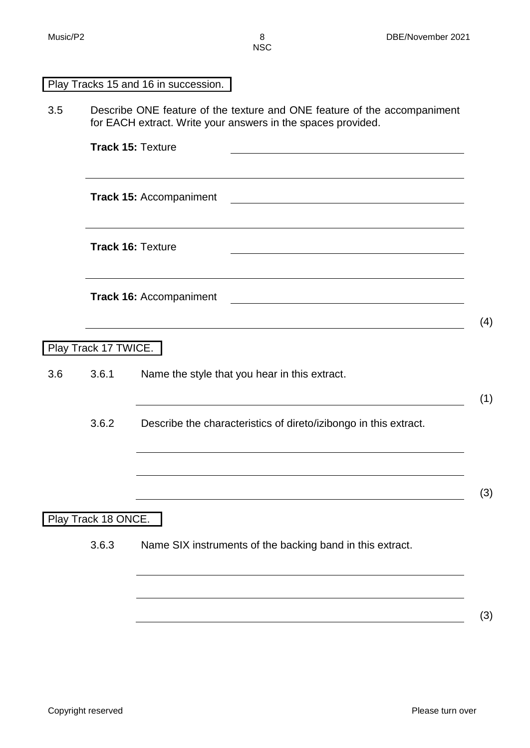| טסוו |
|------|
|      |
|      |
|      |

Play Tracks 15 and 16 in succession.

3.5 Describe ONE feature of the texture and ONE feature of the accompaniment for EACH extract. Write your answers in the spaces provided.

|     |                      | <b>Track 15: Texture</b>                                                                                               |     |
|-----|----------------------|------------------------------------------------------------------------------------------------------------------------|-----|
|     |                      | <b>Track 15: Accompaniment</b>                                                                                         |     |
|     |                      | <b>Track 16: Texture</b>                                                                                               |     |
|     |                      | <b>Track 16: Accompaniment</b>                                                                                         | (4) |
|     | Play Track 17 TWICE. |                                                                                                                        |     |
| 3.6 | 3.6.1                | Name the style that you hear in this extract.                                                                          | (1) |
|     | 3.6.2                | Describe the characteristics of direto/izibongo in this extract.                                                       |     |
|     |                      |                                                                                                                        |     |
|     |                      | <u> 1989 - Johann Stoff, deutscher Stoffen und der Stoffen und der Stoffen und der Stoffen und der Stoffen und der</u> | (3) |
|     | Play Track 18 ONCE.  |                                                                                                                        |     |

3.6.3 Name SIX instruments of the backing band in this extract.

(3)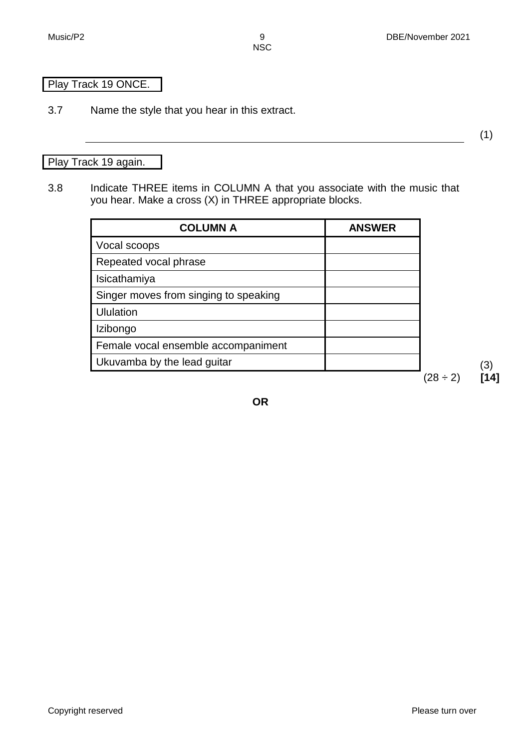(1)

#### Play Track 19 ONCE.

3.7 Name the style that you hear in this extract.

#### Play Track 19 again.

3.8 Indicate THREE items in COLUMN A that you associate with the music that you hear. Make a cross (X) in THREE appropriate blocks.

| <b>COLUMN A</b>                       | <b>ANSWER</b> |               |  |
|---------------------------------------|---------------|---------------|--|
| Vocal scoops                          |               |               |  |
| Repeated vocal phrase                 |               |               |  |
| Isicathamiya                          |               |               |  |
| Singer moves from singing to speaking |               |               |  |
| <b>Ululation</b>                      |               |               |  |
| Izibongo                              |               |               |  |
| Female vocal ensemble accompaniment   |               |               |  |
| Ukuvamba by the lead guitar           |               |               |  |
|                                       |               | $(28 \div 2)$ |  |

**OR**

Copyright reserved **Please** turn over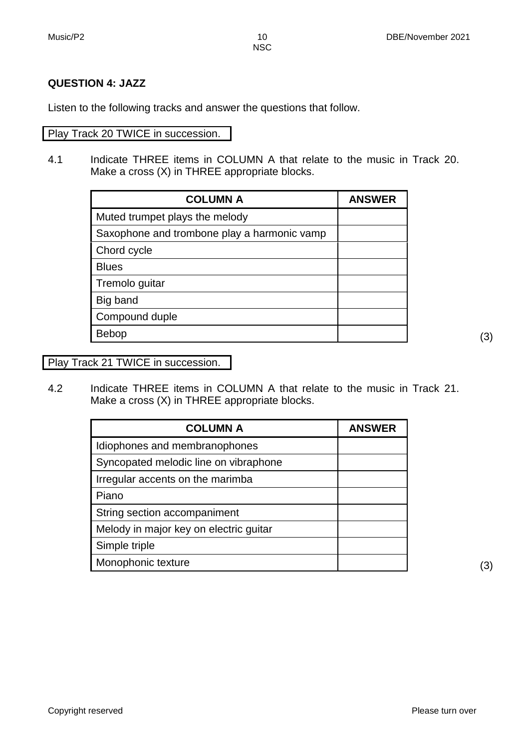#### **QUESTION 4: JAZZ**

Listen to the following tracks and answer the questions that follow.

#### Play Track 20 TWICE in succession.

4.1 Indicate THREE items in COLUMN A that relate to the music in Track 20. Make a cross (X) in THREE appropriate blocks.

| <b>COLUMN A</b>                             | <b>ANSWER</b> |
|---------------------------------------------|---------------|
| Muted trumpet plays the melody              |               |
| Saxophone and trombone play a harmonic vamp |               |
| Chord cycle                                 |               |
| <b>Blues</b>                                |               |
| Tremolo guitar                              |               |
| Big band                                    |               |
| Compound duple                              |               |
| <b>Bebop</b>                                |               |

Play Track 21 TWICE in succession.

4.2 Indicate THREE items in COLUMN A that relate to the music in Track 21. Make a cross (X) in THREE appropriate blocks.

| <b>COLUMN A</b>                        | <b>ANSWER</b> |
|----------------------------------------|---------------|
| Idiophones and membranophones          |               |
| Syncopated melodic line on vibraphone  |               |
| Irregular accents on the marimba       |               |
| Piano                                  |               |
| String section accompaniment           |               |
| Melody in major key on electric guitar |               |
| Simple triple                          |               |
| Monophonic texture                     |               |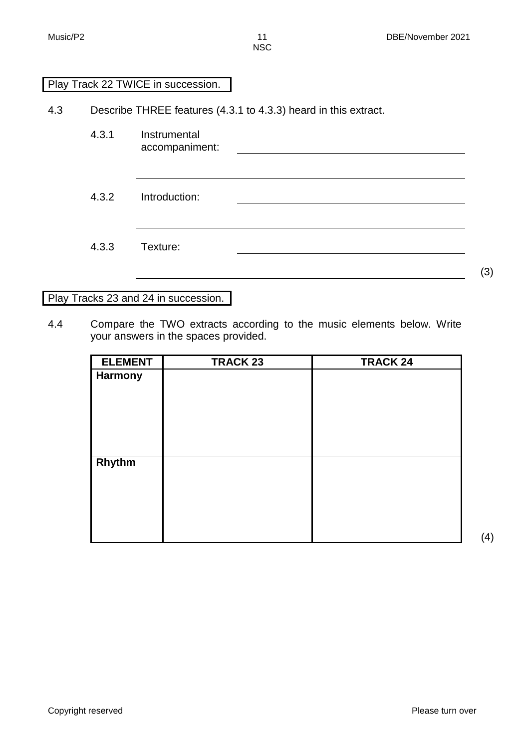#### Play Track 22 TWICE in succession.

4.3 Describe THREE features (4.3.1 to 4.3.3) heard in this extract.

4.3.1 Instrumental accompaniment:

4.3.2 Introduction:

4.3.3 Texture:

Play Tracks 23 and 24 in succession.

4.4 Compare the TWO extracts according to the music elements below. Write your answers in the spaces provided.

| <b>ELEMENT</b> | <b>TRACK 23</b> | <b>TRACK 24</b> |
|----------------|-----------------|-----------------|
| <b>Harmony</b> |                 |                 |
|                |                 |                 |
|                |                 |                 |
|                |                 |                 |
|                |                 |                 |
|                |                 |                 |
| Rhythm         |                 |                 |
|                |                 |                 |
|                |                 |                 |
|                |                 |                 |
|                |                 |                 |
|                |                 |                 |

(3)

(4)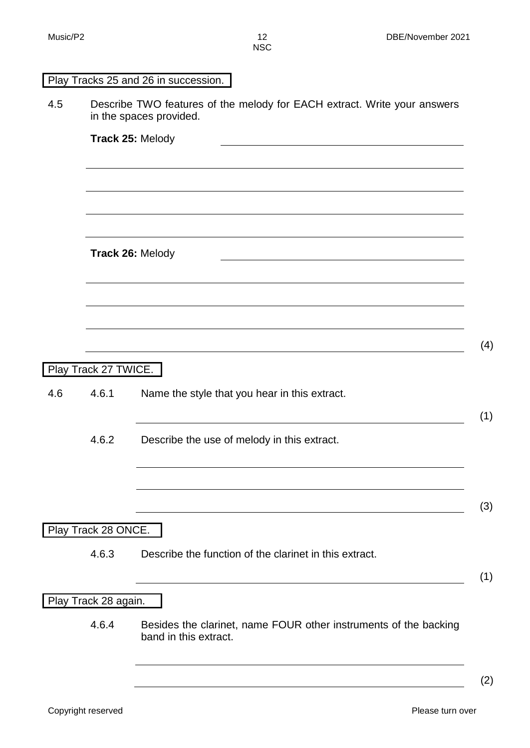|     |                      | Play Tracks 25 and 26 in succession.                                                                |
|-----|----------------------|-----------------------------------------------------------------------------------------------------|
| 4.5 |                      | Describe TWO features of the melody for EACH extract. Write your answers<br>in the spaces provided. |
|     |                      | Track 25: Melody                                                                                    |
|     |                      |                                                                                                     |
|     |                      |                                                                                                     |
|     |                      |                                                                                                     |
|     |                      | Track 26: Melody                                                                                    |
|     |                      | <u> 1989 - Johann Barn, amerikansk politiker (d. 1989)</u>                                          |
|     |                      |                                                                                                     |
|     |                      |                                                                                                     |
|     |                      |                                                                                                     |
|     | Play Track 27 TWICE. |                                                                                                     |
| 4.6 | 4.6.1                | Name the style that you hear in this extract.                                                       |
|     | 4.6.2                | Describe the use of melody in this extract.                                                         |
|     |                      |                                                                                                     |
|     |                      |                                                                                                     |
|     |                      |                                                                                                     |
|     | Play Track 28 ONCE.  |                                                                                                     |
|     | 4.6.3                | Describe the function of the clarinet in this extract.                                              |
|     |                      |                                                                                                     |
|     | Play Track 28 again. |                                                                                                     |
|     | 4.6.4                | Besides the clarinet, name FOUR other instruments of the backing<br>band in this extract.           |
|     |                      |                                                                                                     |
|     |                      |                                                                                                     |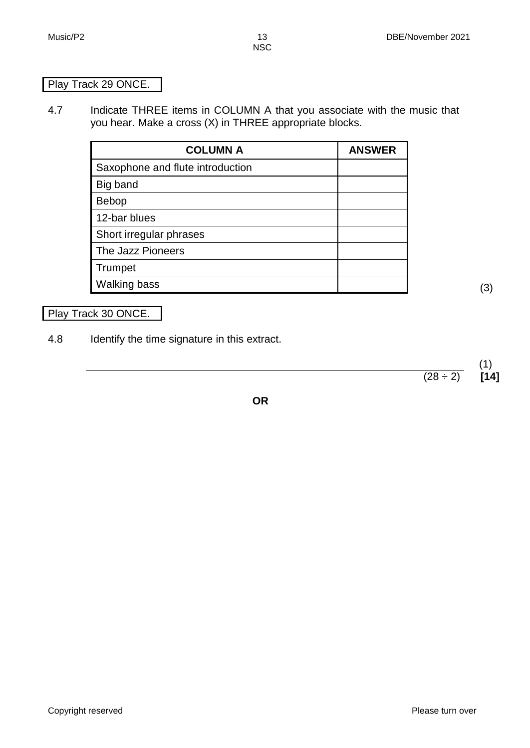#### Play Track 29 ONCE.

4.7 Indicate THREE items in COLUMN A that you associate with the music that you hear. Make a cross (X) in THREE appropriate blocks.

| <b>COLUMN A</b>                  | <b>ANSWER</b> |
|----------------------------------|---------------|
| Saxophone and flute introduction |               |
| Big band                         |               |
| <b>Bebop</b>                     |               |
| 12-bar blues                     |               |
| Short irregular phrases          |               |
| The Jazz Pioneers                |               |
| Trumpet                          |               |
| <b>Walking bass</b>              |               |

#### Play Track 30 ONCE.

4.8 Identify the time signature in this extract.

 $(1)$ <br>[14]  $(28 \div 2)$ 

**OR**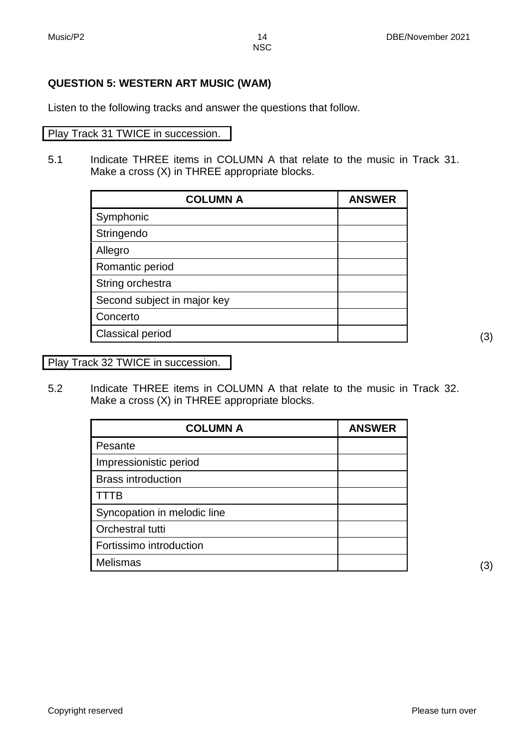#### **QUESTION 5: WESTERN ART MUSIC (WAM)**

Listen to the following tracks and answer the questions that follow.

#### Play Track 31 TWICE in succession.

5.1 Indicate THREE items in COLUMN A that relate to the music in Track 31. Make a cross (X) in THREE appropriate blocks.

| <b>COLUMN A</b>             | <b>ANSWER</b> |
|-----------------------------|---------------|
| Symphonic                   |               |
| Stringendo                  |               |
| Allegro                     |               |
| Romantic period             |               |
| String orchestra            |               |
| Second subject in major key |               |
| Concerto                    |               |
| <b>Classical period</b>     |               |

Play Track 32 TWICE in succession.

5.2 Indicate THREE items in COLUMN A that relate to the music in Track 32. Make a cross (X) in THREE appropriate blocks.

| <b>COLUMN A</b>             | <b>ANSWER</b> |
|-----------------------------|---------------|
| Pesante                     |               |
| Impressionistic period      |               |
| <b>Brass introduction</b>   |               |
| TΒ                          |               |
| Syncopation in melodic line |               |
| Orchestral tutti            |               |
| Fortissimo introduction     |               |
| <b>Melismas</b>             |               |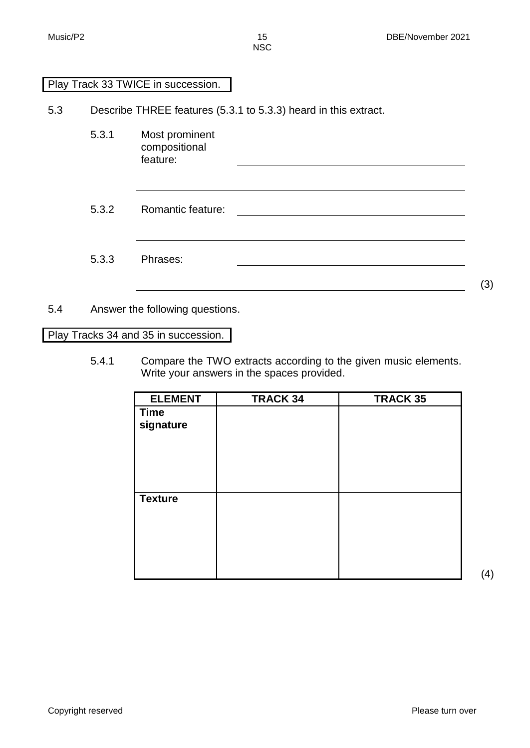#### Play Track 33 TWICE in succession.

5.3 Describe THREE features (5.3.1 to 5.3.3) heard in this extract.

- 5.3.1 Most prominent compositional feature:
- 5.3.2 Romantic feature:
- 5.3.3 Phrases:

(3)

#### 5.4 Answer the following questions.

Play Tracks 34 and 35 in succession.

5.4.1 Compare the TWO extracts according to the given music elements. Write your answers in the spaces provided.

| <b>ELEMENT</b> | <b>TRACK 34</b> | <b>TRACK 35</b> |
|----------------|-----------------|-----------------|
| <b>Time</b>    |                 |                 |
| signature      |                 |                 |
|                |                 |                 |
|                |                 |                 |
|                |                 |                 |
|                |                 |                 |
| <b>Texture</b> |                 |                 |
|                |                 |                 |
|                |                 |                 |
|                |                 |                 |
|                |                 |                 |
|                |                 |                 |

(4)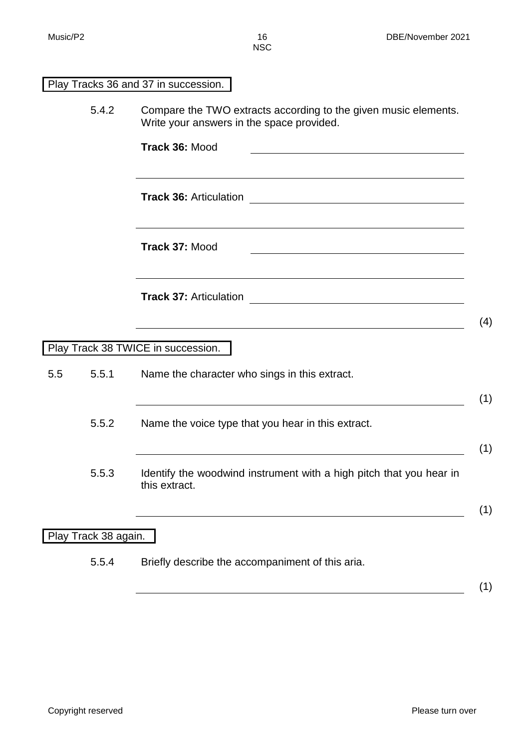|     |                      | Play Tracks 36 and 37 in succession.                                                                                           |
|-----|----------------------|--------------------------------------------------------------------------------------------------------------------------------|
|     | 5.4.2                | Compare the TWO extracts according to the given music elements.<br>Write your answers in the space provided.<br>Track 36: Mood |
|     |                      |                                                                                                                                |
|     |                      | <b>Track 36: Articulation</b><br><u> 2000 - Jan James Barnett, fransk politik (d. 1882)</u>                                    |
|     |                      | <b>Track 37: Mood</b><br><u> 1989 - Johann Stoff, amerikansk politiker (d. 1989)</u>                                           |
|     |                      | <b>Track 37: Articulation</b><br>(4)                                                                                           |
|     |                      | Play Track 38 TWICE in succession.                                                                                             |
| 5.5 | 5.5.1                | Name the character who sings in this extract.<br>(1)                                                                           |
|     | 5.5.2                | Name the voice type that you hear in this extract.<br>(1)                                                                      |
|     | 5.5.3                | Identify the woodwind instrument with a high pitch that you hear in<br>this extract.<br>(1)                                    |
|     | Play Track 38 again. |                                                                                                                                |
|     | 5.5.4                | Briefly describe the accompaniment of this aria.                                                                               |
|     |                      | (1)                                                                                                                            |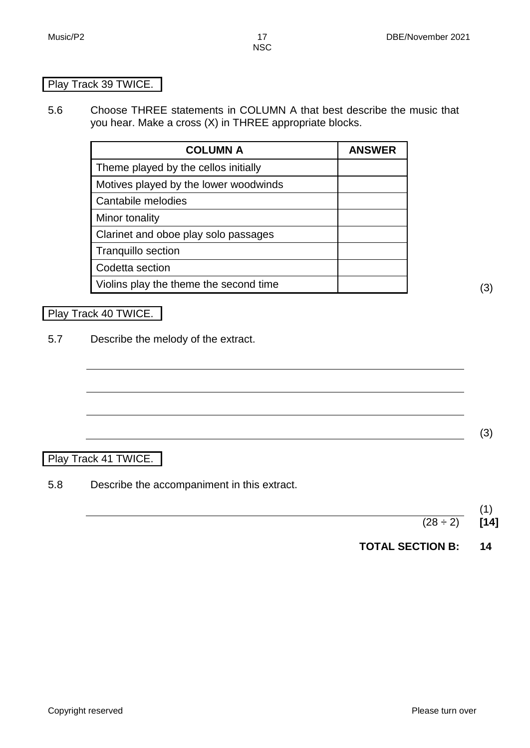#### Play Track 39 TWICE.

5.6 Choose THREE statements in COLUMN A that best describe the music that you hear. Make a cross (X) in THREE appropriate blocks.

| <b>COLUMN A</b>                        | <b>ANSWER</b> |
|----------------------------------------|---------------|
| Theme played by the cellos initially   |               |
| Motives played by the lower woodwinds  |               |
| Cantabile melodies                     |               |
| Minor tonality                         |               |
| Clarinet and oboe play solo passages   |               |
| <b>Tranquillo section</b>              |               |
| Codetta section                        |               |
| Violins play the theme the second time |               |

#### Play Track 40 TWICE.

5.7 Describe the melody of the extract.

#### Play Track 41 TWICE.

5.8 Describe the accompaniment in this extract.

(3)

**TOTAL SECTION B: 14**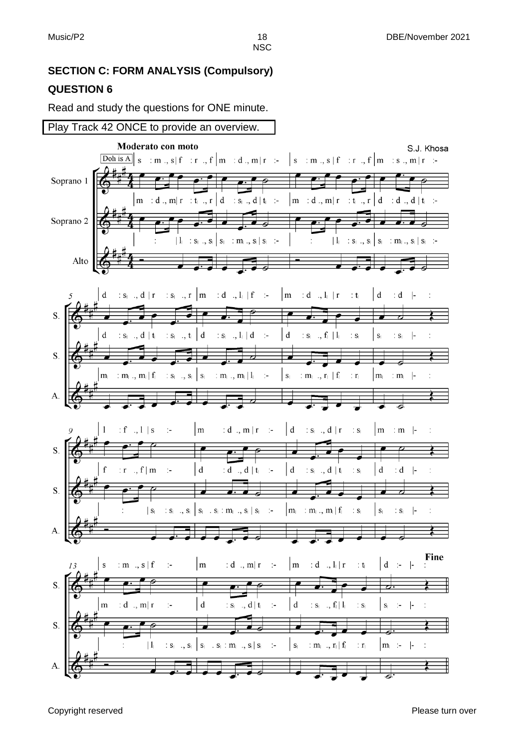#### **SECTION C: FORM ANALYSIS (Compulsory) QUESTION 6**

Read and study the questions for ONE minute.

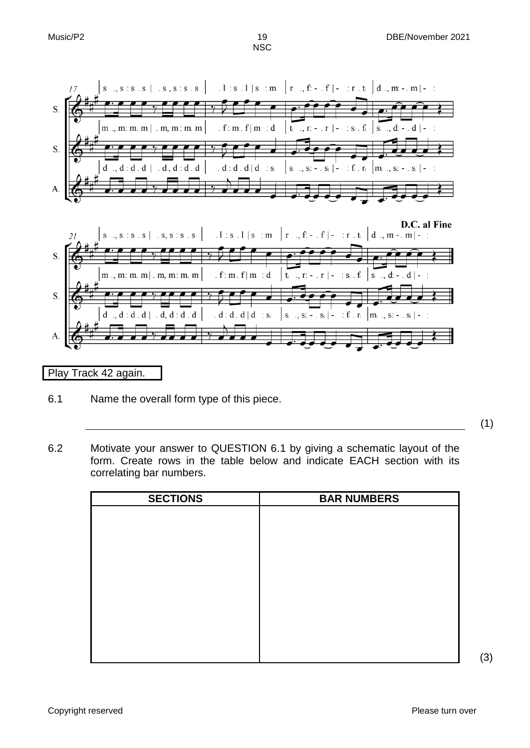

Play Track 42 again.

6.1 Name the overall form type of this piece.

(1)

6.2 Motivate your answer to QUESTION 6.1 by giving a schematic layout of the form. Create rows in the table below and indicate EACH section with its correlating bar numbers.

| <b>SECTIONS</b> | <b>BAR NUMBERS</b> |
|-----------------|--------------------|
|                 |                    |
|                 |                    |
|                 |                    |
|                 |                    |
|                 |                    |
|                 |                    |
|                 |                    |
|                 |                    |
|                 |                    |
|                 |                    |
|                 |                    |

(3)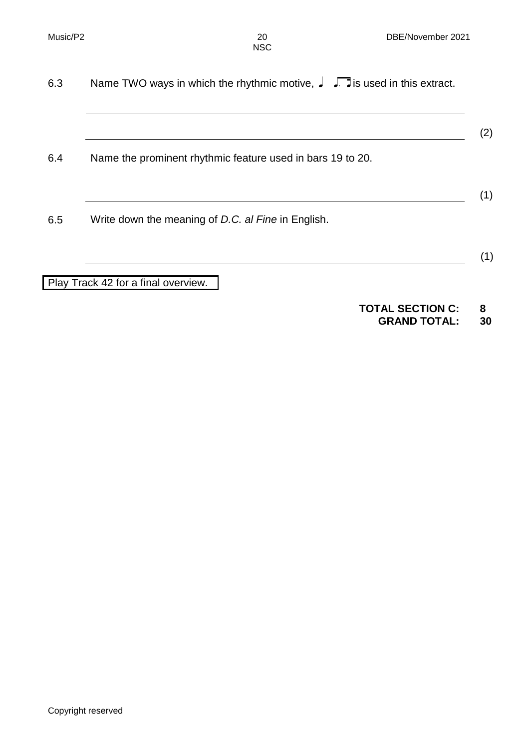(2)

(1)

| 6.3 | Name TWO ways in which the rhythmic motive, $\int \int \overline{\cdot}$ is used in this extract. |
|-----|---------------------------------------------------------------------------------------------------|
|     |                                                                                                   |

6.4 Name the prominent rhythmic feature used in bars 19 to 20.

- (1)
- 6.5 Write down the meaning of *D.C. al Fine* in English.

Play Track 42 for a final overview.

## **TOTAL SECTION C: 8**

**GRAND TOTAL: 30**